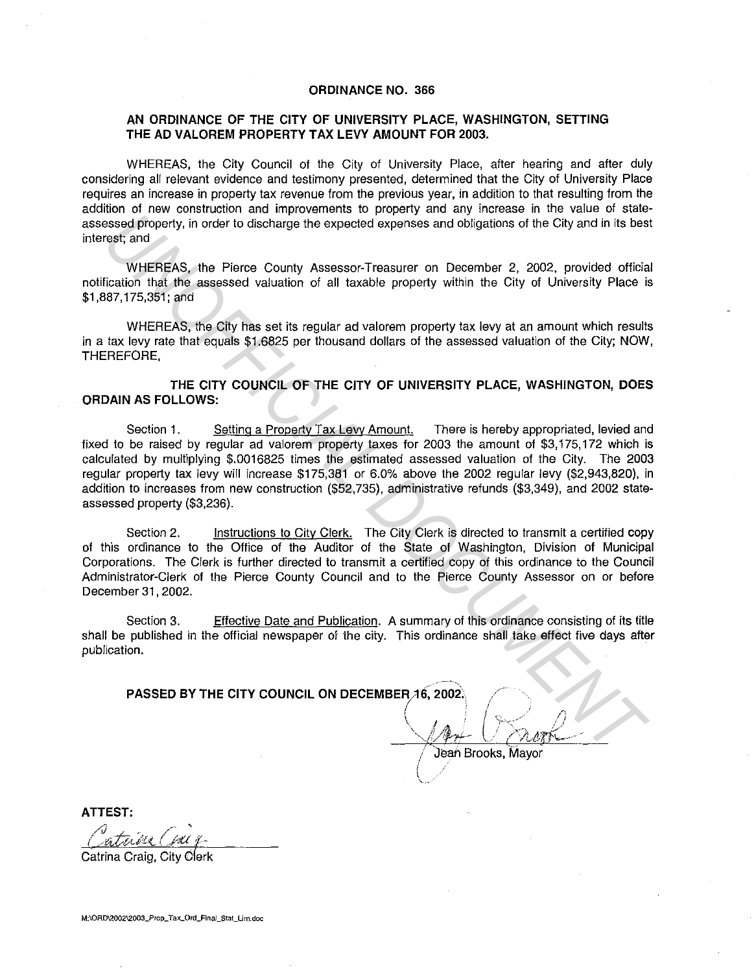## **ORDINANCE NO. 366**

## **AN ORDINANCE OF THE CITY OF UNIVERSITY PLACE, WASHINGTON, SETTING THE AD VALOREM PROPERTY TAX LEVY AMOUNT FOR 2003.**

WHEREAS, the City Council of the City of University Place, after hearing and after duly considering all relevant evidence and testimony presented, determined that the City of University Place requires an increase in property tax revenue from the previous year, in addition to that resulting from the addition of new construction and improvements to property and any increase in the value of stateassessed property, in order to discharge the expected expenses and obligations of the City and in its best interest; and

WHEREAS, the Pierce County Assessor-Treasurer on December 2, 2002, provided official notification that the assessed valuation of all taxable property within the City of University Place is \$1,887, 175,351; and

WHEREAS, the City has set its regular ad valorem property tax levy at an amount which results in a tax levy rate that equals \$1.6825 per thousand dollars of the assessed valuation of the City; NOW, THEREFORE,

**THE CITY COUNCIL OF THE CITY OF UNIVERSITY PLACE, WASHINGTON, DOES ORDAIN AS FOLLOWS:** 

Section 1. Setting a Property Tax Levy Amount. There is hereby appropriated, levied and fixed to be raised by regular ad valorem property taxes tor 2003 the amount of \$3, 175, 172 which is calculated by multiplying \$.0016825 times the estimated assessed valuation of the City. The 2003 regular property tax levy will increase \$175,381 or 6.0% above the 2002 regular levy (\$2,943,820), in addition to increases from new construction (\$52,735), administrative refunds (\$3,349), and 2002 stateassessed property (\$3,236). assed properly, in order to discharge the expected expenses and obligations of the City and in its best and<br>seed properly, in order to discharge the expected expenses and obligations of the City and in its best<br>fication th

Section 2. Instructions to City Clerk. The City Clerk is directed to transmit a certified copy of this ordinance to the Office of the Auditor of the State of Washington, Division of Municipal Corporations. The Clerk is further directed to transmit a certified copy of this ordinance to the Council Administrator-Clerk of the Pierce County Council and to the Pierce County Assessor on or before December 31, 2002.

Section 3. Effective Date and Publication. A summary of this ordinance consisting of its title shall be published in the official newspaper of the city. This ordinance shall take effect five days after publication.

**PASSED BY THE CITY COUNCIL ON DECEMBER 16, 2002.** 

 $\sqrt{1+\sqrt{2\pi r}}$ 

Jean Brooks, Mavor

~-

**ATTEST:** 

Catrina Craig, City Clerk

**M:\ORD\2002\2003\_Prop\_Tax\_Ord\_Final\_Stat\_Lim.doc**